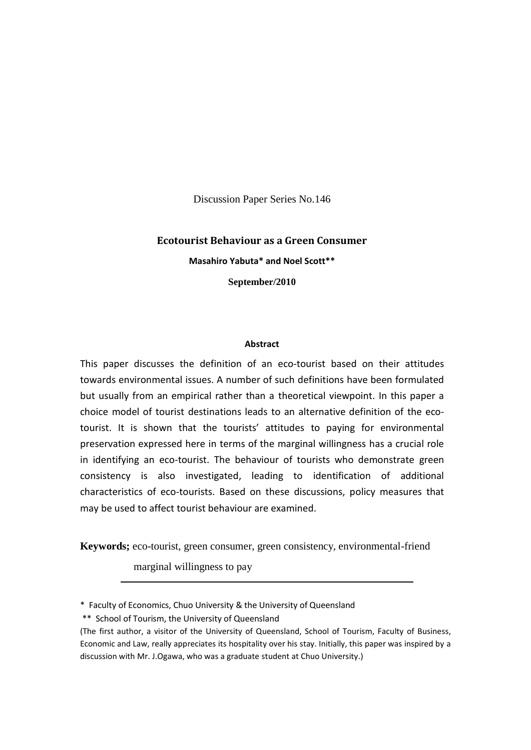Discussion Paper Series No.146

# **Ecotourist Behaviour as a Green Consumer Masahiro Yabuta\* and Noel Scott\*\* September/2010**

#### **Abstract**

This paper discusses the definition of an eco-tourist based on their attitudes towards environmental issues. A number of such definitions have been formulated but usually from an empirical rather than a theoretical viewpoint. In this paper a choice model of tourist destinations leads to an alternative definition of the ecotourist. It is shown that the tourists' attitudes to paying for environmental preservation expressed here in terms of the marginal willingness has a crucial role in identifying an eco-tourist. The behaviour of tourists who demonstrate green consistency is also investigated, leading to identification of additional characteristics of eco-tourists. Based on these discussions, policy measures that may be used to affect tourist behaviour are examined.

**Keywords;** eco-tourist, green consumer, green consistency, environmental-friend

marginal willingness to pay

<sup>\*</sup> Faculty of Economics, Chuo University & the University of Queensland

<sup>\*\*</sup> School of Tourism, the University of Queensland

<sup>(</sup>The first author, a visitor of the University of Queensland, School of Tourism, Faculty of Business, Economic and Law, really appreciates its hospitality over his stay. Initially, this paper was inspired by a discussion with Mr. J.Ogawa, who was a graduate student at Chuo University.)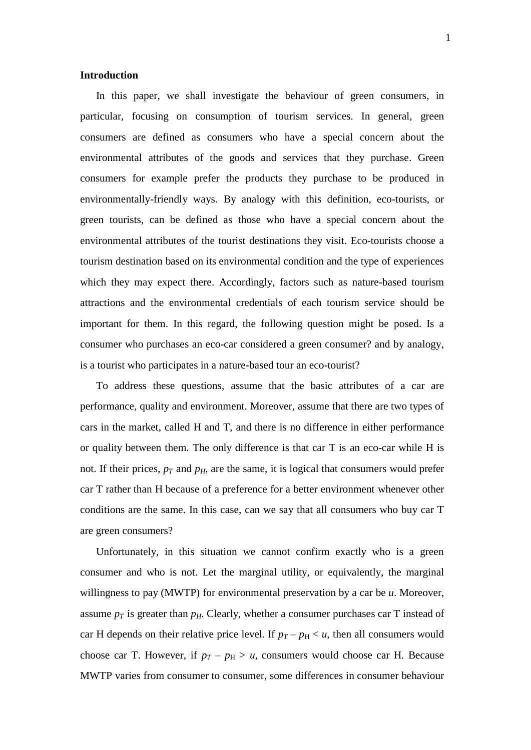## **Introduction**

 In this paper, we shall investigate the behaviour of green consumers, in particular, focusing on consumption of tourism services. In general, green consumers are defined as consumers who have a special concern about the environmental attributes of the goods and services that they purchase. Green consumers for example prefer the products they purchase to be produced in environmentally-friendly ways. By analogy with this definition, eco-tourists, or green tourists, can be defined as those who have a special concern about the environmental attributes of the tourist destinations they visit. Eco-tourists choose a tourism destination based on its environmental condition and the type of experiences which they may expect there. Accordingly, factors such as nature-based tourism attractions and the environmental credentials of each tourism service should be important for them. In this regard, the following question might be posed. Is a consumer who purchases an eco-car considered a green consumer? and by analogy, is a tourist who participates in a nature-based tour an eco-tourist?

 To address these questions, assume that the basic attributes of a car are performance, quality and environment. Moreover, assume that there are two types of cars in the market, called H and T, and there is no difference in either performance or quality between them. The only difference is that car T is an eco-car while H is not. If their prices,  $p_T$  and  $p_H$ , are the same, it is logical that consumers would prefer car T rather than H because of a preference for a better environment whenever other conditions are the same. In this case, can we say that all consumers who buy car T are green consumers?

 Unfortunately, in this situation we cannot confirm exactly who is a green consumer and who is not. Let the marginal utility, or equivalently, the marginal willingness to pay (MWTP) for environmental preservation by a car be *u*. Moreover, assume  $p_T$  is greater than  $p_H$ . Clearly, whether a consumer purchases car T instead of car H depends on their relative price level. If  $p_T - p_H < u$ , then all consumers would choose car T. However, if  $p_T - p_H > u$ , consumers would choose car H. Because MWTP varies from consumer to consumer, some differences in consumer behaviour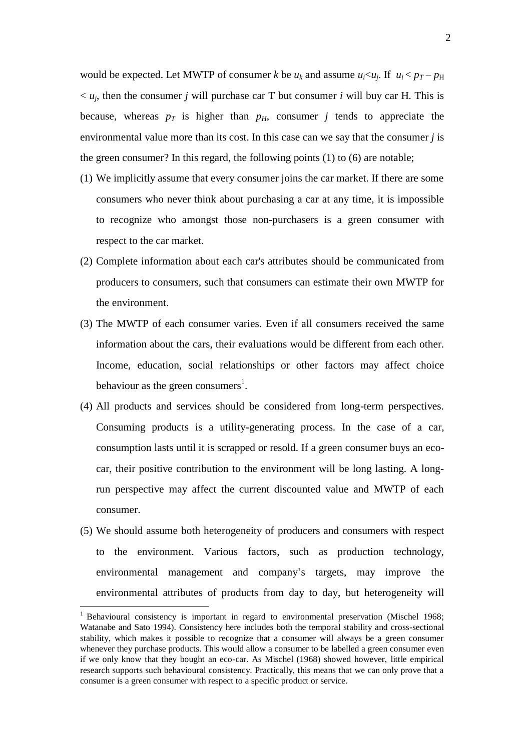would be expected. Let MWTP of consumer *k* be  $u_k$  and assume  $u_i \lt u_j$ . If  $u_i \lt p_T - p_H$  $\langle u_j, v_k \rangle$  then the consumer *j* will purchase car T but consumer *i* will buy car H. This is because, whereas  $p_T$  is higher than  $p_H$ , consumer *j* tends to appreciate the environmental value more than its cost. In this case can we say that the consumer *j* is the green consumer? In this regard, the following points (1) to (6) are notable;

- (1) We implicitly assume that every consumer joins the car market. If there are some consumers who never think about purchasing a car at any time, it is impossible to recognize who amongst those non-purchasers is a green consumer with respect to the car market.
- (2) Complete information about each car's attributes should be communicated from producers to consumers, such that consumers can estimate their own MWTP for the environment.
- (3) The MWTP of each consumer varies. Even if all consumers received the same information about the cars, their evaluations would be different from each other. Income, education, social relationships or other factors may affect choice behaviour as the green consumers<sup>1</sup>.
- (4) All products and services should be considered from long-term perspectives. Consuming products is a utility-generating process. In the case of a car, consumption lasts until it is scrapped or resold. If a green consumer buys an ecocar, their positive contribution to the environment will be long lasting. A longrun perspective may affect the current discounted value and MWTP of each consumer.
- (5) We should assume both heterogeneity of producers and consumers with respect to the environment. Various factors, such as production technology, environmental management and company's targets, may improve the environmental attributes of products from day to day, but heterogeneity will

 $\overline{a}$ 

<sup>&</sup>lt;sup>1</sup> Behavioural consistency is important in regard to environmental preservation (Mischel 1968; Watanabe and Sato 1994). Consistency here includes both the temporal stability and cross-sectional stability, which makes it possible to recognize that a consumer will always be a green consumer whenever they purchase products. This would allow a consumer to be labelled a green consumer even if we only know that they bought an eco-car. As Mischel (1968) showed however, little empirical research supports such behavioural consistency. Practically, this means that we can only prove that a consumer is a green consumer with respect to a specific product or service.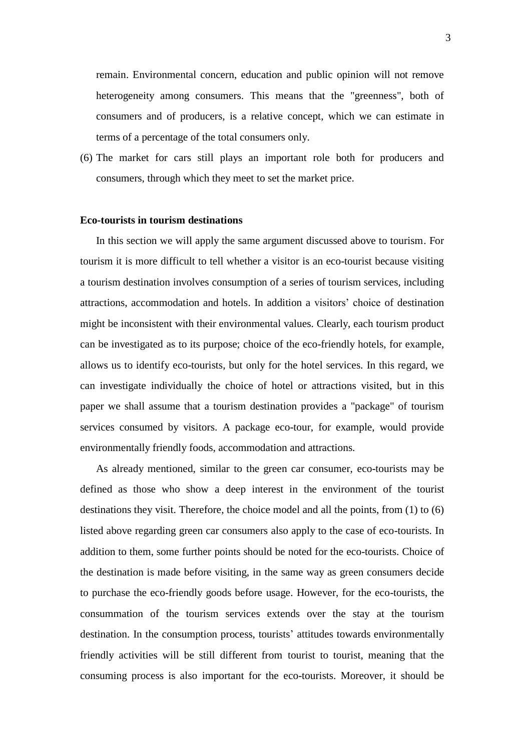remain. Environmental concern, education and public opinion will not remove heterogeneity among consumers. This means that the "greenness", both of consumers and of producers, is a relative concept, which we can estimate in terms of a percentage of the total consumers only.

(6) The market for cars still plays an important role both for producers and consumers, through which they meet to set the market price.

#### **Eco-tourists in tourism destinations**

 In this section we will apply the same argument discussed above to tourism. For tourism it is more difficult to tell whether a visitor is an eco-tourist because visiting a tourism destination involves consumption of a series of tourism services, including attractions, accommodation and hotels. In addition a visitors" choice of destination might be inconsistent with their environmental values. Clearly, each tourism product can be investigated as to its purpose; choice of the eco-friendly hotels, for example, allows us to identify eco-tourists, but only for the hotel services. In this regard, we can investigate individually the choice of hotel or attractions visited, but in this paper we shall assume that a tourism destination provides a "package" of tourism services consumed by visitors. A package eco-tour, for example, would provide environmentally friendly foods, accommodation and attractions.

 As already mentioned, similar to the green car consumer, eco-tourists may be defined as those who show a deep interest in the environment of the tourist destinations they visit. Therefore, the choice model and all the points, from (1) to (6) listed above regarding green car consumers also apply to the case of eco-tourists. In addition to them, some further points should be noted for the eco-tourists. Choice of the destination is made before visiting, in the same way as green consumers decide to purchase the eco-friendly goods before usage. However, for the eco-tourists, the consummation of the tourism services extends over the stay at the tourism destination. In the consumption process, tourists' attitudes towards environmentally friendly activities will be still different from tourist to tourist, meaning that the consuming process is also important for the eco-tourists. Moreover, it should be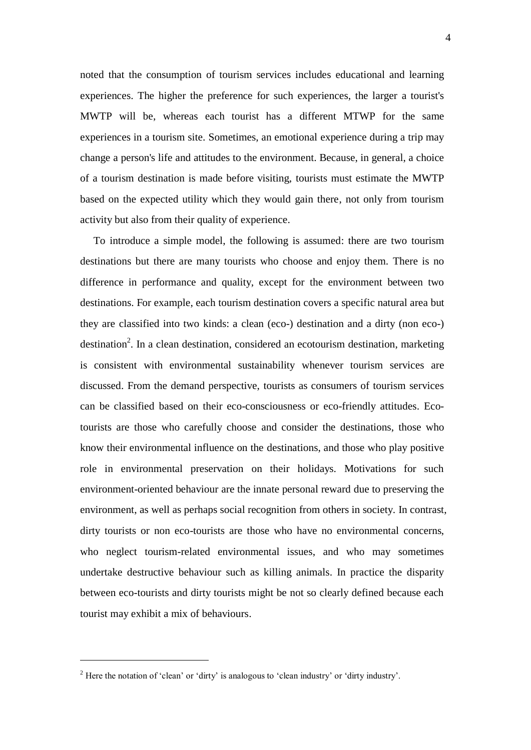noted that the consumption of tourism services includes educational and learning experiences. The higher the preference for such experiences, the larger a tourist's MWTP will be, whereas each tourist has a different MTWP for the same experiences in a tourism site. Sometimes, an emotional experience during a trip may change a person's life and attitudes to the environment. Because, in general, a choice of a tourism destination is made before visiting, tourists must estimate the MWTP based on the expected utility which they would gain there, not only from tourism activity but also from their quality of experience.

 To introduce a simple model, the following is assumed: there are two tourism destinations but there are many tourists who choose and enjoy them. There is no difference in performance and quality, except for the environment between two destinations. For example, each tourism destination covers a specific natural area but they are classified into two kinds: a clean (eco-) destination and a dirty (non eco-) destination<sup>2</sup>. In a clean destination, considered an ecotourism destination, marketing is consistent with environmental sustainability whenever tourism services are discussed. From the demand perspective, tourists as consumers of tourism services can be classified based on their eco-consciousness or eco-friendly attitudes. Ecotourists are those who carefully choose and consider the destinations, those who know their environmental influence on the destinations, and those who play positive role in environmental preservation on their holidays. Motivations for such environment-oriented behaviour are the innate personal reward due to preserving the environment, as well as perhaps social recognition from others in society. In contrast, dirty tourists or non eco-tourists are those who have no environmental concerns, who neglect tourism-related environmental issues, and who may sometimes undertake destructive behaviour such as killing animals. In practice the disparity between eco-tourists and dirty tourists might be not so clearly defined because each tourist may exhibit a mix of behaviours.

 $\overline{a}$ 

 $2$  Here the notation of 'clean' or 'dirty' is analogous to 'clean industry' or 'dirty industry'.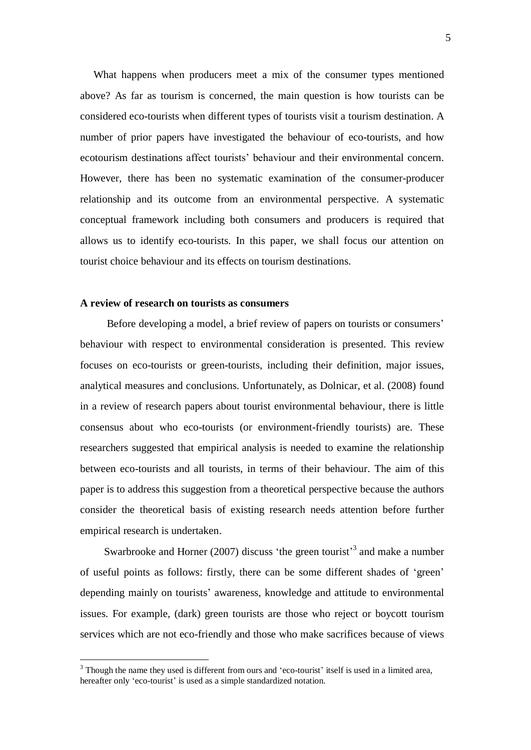What happens when producers meet a mix of the consumer types mentioned above? As far as tourism is concerned, the main question is how tourists can be considered eco-tourists when different types of tourists visit a tourism destination. A number of prior papers have investigated the behaviour of eco-tourists, and how ecotourism destinations affect tourists" behaviour and their environmental concern. However, there has been no systematic examination of the consumer-producer relationship and its outcome from an environmental perspective. A systematic conceptual framework including both consumers and producers is required that allows us to identify eco-tourists. In this paper, we shall focus our attention on tourist choice behaviour and its effects on tourism destinations.

## **A review of research on tourists as consumers**

 $\overline{a}$ 

Before developing a model, a brief review of papers on tourists or consumers' behaviour with respect to environmental consideration is presented. This review focuses on eco-tourists or green-tourists, including their definition, major issues, analytical measures and conclusions. Unfortunately, as Dolnicar, et al. (2008) found in a review of research papers about tourist environmental behaviour, there is little consensus about who eco-tourists (or environment-friendly tourists) are. These researchers suggested that empirical analysis is needed to examine the relationship between eco-tourists and all tourists, in terms of their behaviour. The aim of this paper is to address this suggestion from a theoretical perspective because the authors consider the theoretical basis of existing research needs attention before further empirical research is undertaken.

Swarbrooke and Horner (2007) discuss 'the green tourist'<sup>3</sup> and make a number of useful points as follows: firstly, there can be some different shades of "green" depending mainly on tourists" awareness, knowledge and attitude to environmental issues. For example, (dark) green tourists are those who reject or boycott tourism services which are not eco-friendly and those who make sacrifices because of views

 $3$  Though the name they used is different from ours and 'eco-tourist' itself is used in a limited area, hereafter only 'eco-tourist' is used as a simple standardized notation.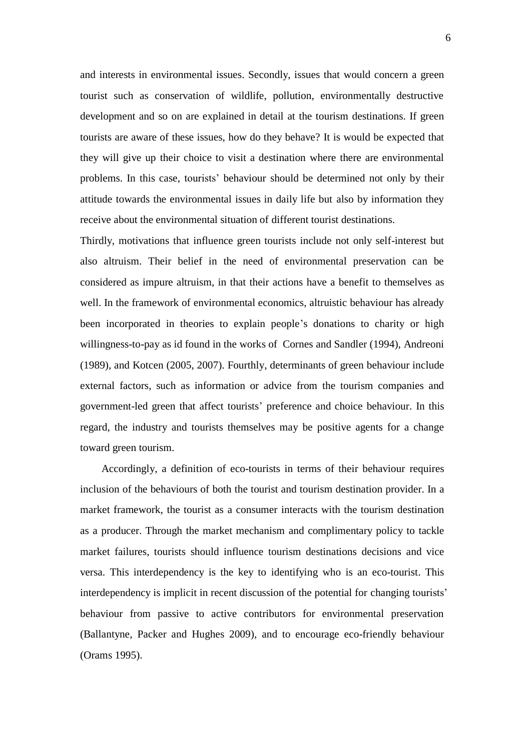and interests in environmental issues. Secondly, issues that would concern a green tourist such as conservation of wildlife, pollution, environmentally destructive development and so on are explained in detail at the tourism destinations. If green tourists are aware of these issues, how do they behave? It is would be expected that they will give up their choice to visit a destination where there are environmental problems. In this case, tourists" behaviour should be determined not only by their attitude towards the environmental issues in daily life but also by information they receive about the environmental situation of different tourist destinations.

Thirdly, motivations that influence green tourists include not only self-interest but also altruism. Their belief in the need of environmental preservation can be considered as impure altruism, in that their actions have a benefit to themselves as well. In the framework of environmental economics, altruistic behaviour has already been incorporated in theories to explain people"s donations to charity or high willingness-to-pay as id found in the works of Cornes and Sandler (1994), Andreoni (1989), and Kotcen (2005, 2007). Fourthly, determinants of green behaviour include external factors, such as information or advice from the tourism companies and government-led green that affect tourists" preference and choice behaviour. In this regard, the industry and tourists themselves may be positive agents for a change toward green tourism.

Accordingly, a definition of eco-tourists in terms of their behaviour requires inclusion of the behaviours of both the tourist and tourism destination provider. In a market framework, the tourist as a consumer interacts with the tourism destination as a producer. Through the market mechanism and complimentary policy to tackle market failures, tourists should influence tourism destinations decisions and vice versa. This interdependency is the key to identifying who is an eco-tourist. This interdependency is implicit in recent discussion of the potential for changing tourists' behaviour from passive to active contributors for environmental preservation (Ballantyne, Packer and Hughes 2009), and to encourage eco-friendly behaviour (Orams 1995).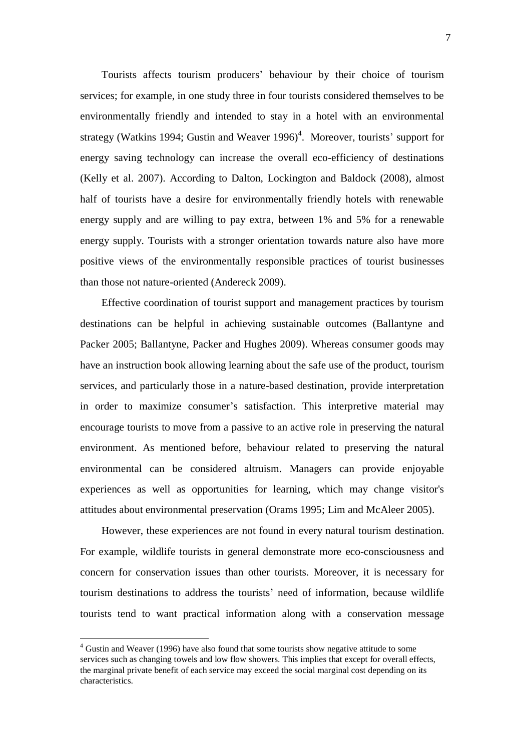Tourists affects tourism producers" behaviour by their choice of tourism services; for example, in one study three in four tourists considered themselves to be environmentally friendly and intended to stay in a hotel with an environmental strategy (Watkins 1994; Gustin and Weaver  $1996$ <sup>4</sup>. Moreover, tourists' support for energy saving technology can increase the overall eco-efficiency of destinations (Kelly et al. 2007). According to Dalton, Lockington and Baldock (2008), almost half of tourists have a desire for environmentally friendly hotels with renewable energy supply and are willing to pay extra, between 1% and 5% for a renewable energy supply. Tourists with a stronger orientation towards nature also have more positive views of the environmentally responsible practices of tourist businesses than those not nature-oriented (Andereck 2009).

Effective coordination of tourist support and management practices by tourism destinations can be helpful in achieving sustainable outcomes (Ballantyne and Packer 2005; Ballantyne, Packer and Hughes 2009). Whereas consumer goods may have an instruction book allowing learning about the safe use of the product, tourism services, and particularly those in a nature-based destination, provide interpretation in order to maximize consumer's satisfaction. This interpretive material may encourage tourists to move from a passive to an active role in preserving the natural environment. As mentioned before, behaviour related to preserving the natural environmental can be considered altruism. Managers can provide enjoyable experiences as well as opportunities for learning, which may change visitor's attitudes about environmental preservation (Orams 1995; Lim and McAleer 2005).

However, these experiences are not found in every natural tourism destination. For example, wildlife tourists in general demonstrate more eco-consciousness and concern for conservation issues than other tourists. Moreover, it is necessary for tourism destinations to address the tourists" need of information, because wildlife tourists tend to want practical information along with a conservation message

 $\overline{a}$ 

<sup>&</sup>lt;sup>4</sup> Gustin and Weaver (1996) have also found that some tourists show negative attitude to some services such as changing towels and low flow showers. This implies that except for overall effects, the marginal private benefit of each service may exceed the social marginal cost depending on its characteristics.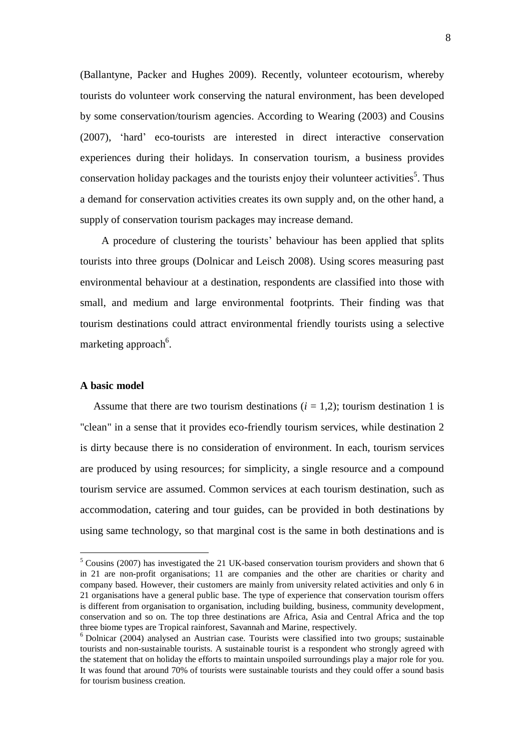(Ballantyne, Packer and Hughes 2009). Recently, volunteer ecotourism, whereby tourists do volunteer work conserving the natural environment, has been developed by some conservation/tourism agencies. According to Wearing (2003) and Cousins (2007), "hard" eco-tourists are interested in direct interactive conservation experiences during their holidays. In conservation tourism, a business provides conservation holiday packages and the tourists enjoy their volunteer activities<sup>5</sup>. Thus a demand for conservation activities creates its own supply and, on the other hand, a supply of conservation tourism packages may increase demand.

A procedure of clustering the tourists" behaviour has been applied that splits tourists into three groups (Dolnicar and Leisch 2008). Using scores measuring past environmental behaviour at a destination, respondents are classified into those with small, and medium and large environmental footprints. Their finding was that tourism destinations could attract environmental friendly tourists using a selective marketing approach<sup>6</sup>.

## **A basic model**

 $\overline{a}$ 

Assume that there are two tourism destinations  $(i = 1, 2)$ ; tourism destination 1 is "clean" in a sense that it provides eco-friendly tourism services, while destination 2 is dirty because there is no consideration of environment. In each, tourism services are produced by using resources; for simplicity, a single resource and a compound tourism service are assumed. Common services at each tourism destination, such as accommodation, catering and tour guides, can be provided in both destinations by using same technology, so that marginal cost is the same in both destinations and is

<sup>5</sup> Cousins (2007) has investigated the 21 UK-based conservation tourism providers and shown that 6 in 21 are non-profit organisations; 11 are companies and the other are charities or charity and company based. However, their customers are mainly from university related activities and only 6 in 21 organisations have a general public base. The type of experience that conservation tourism offers is different from organisation to organisation, including building, business, community development, conservation and so on. The top three destinations are Africa, Asia and Central Africa and the top three biome types are Tropical rainforest, Savannah and Marine, respectively.

<sup>6</sup> Dolnicar (2004) analysed an Austrian case. Tourists were classified into two groups; sustainable tourists and non-sustainable tourists. A sustainable tourist is a respondent who strongly agreed with the statement that on holiday the efforts to maintain unspoiled surroundings play a major role for you. It was found that around 70% of tourists were sustainable tourists and they could offer a sound basis for tourism business creation.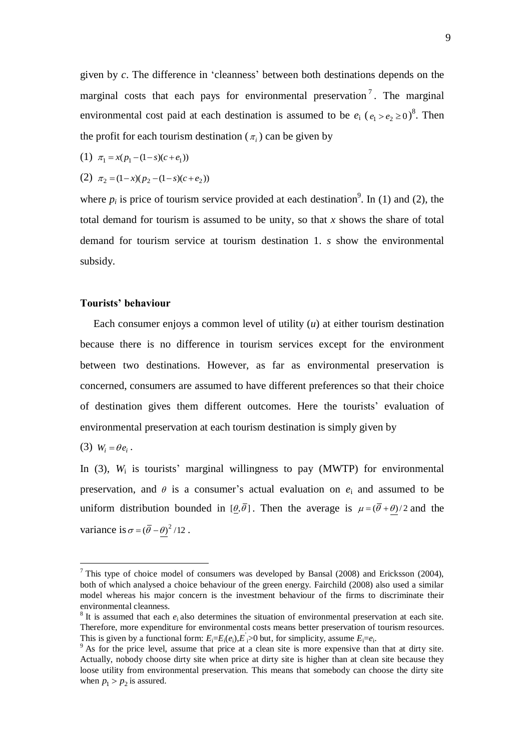given by *c*. The difference in "cleanness" between both destinations depends on the marginal costs that each pays for environmental preservation<sup>7</sup>. The marginal environmental cost paid at each destination is assumed to be  $e_i$  ( $e_1 > e_2 \ge 0$ )<sup>8</sup>. Then the profit for each tourism destination ( $\pi$ <sub>i</sub>) can be given by

(1) 
$$
\pi_1 = x(p_1 - (1 - s)(c + e_1))
$$

(2) 
$$
\pi_2 = (1-x)(p_2 - (1-s)(c+e_2))
$$

where  $p_i$  is price of tourism service provided at each destination<sup>9</sup>. In (1) and (2), the total demand for tourism is assumed to be unity, so that *x* shows the share of total demand for tourism service at tourism destination 1. *s* show the environmental subsidy.

## **Tourists' behaviour**

 Each consumer enjoys a common level of utility (*u*) at either tourism destination because there is no difference in tourism services except for the environment between two destinations. However, as far as environmental preservation is concerned, consumers are assumed to have different preferences so that their choice of destination gives them different outcomes. Here the tourists" evaluation of environmental preservation at each tourism destination is simply given by

(3)  $W_i = \theta e_i$ .

 $\overline{a}$ 

In  $(3)$ ,  $W_i$  is tourists' marginal willingness to pay  $(MWTP)$  for environmental preservation, and  $\theta$  is a consumer's actual evaluation on  $e_i$  and assumed to be uniform distribution bounded in  $[\theta, \bar{\theta}]$ . Then the average is  $\mu = (\bar{\theta} + \theta)/2$  and the variance is  $\sigma = (\bar{\theta} - \theta)^2 / 12$ .

<sup>&</sup>lt;sup>7</sup> This type of choice model of consumers was developed by Bansal (2008) and Ericksson (2004), both of which analysed a choice behaviour of the green energy. Fairchild (2008) also used a similar model whereas his major concern is the investment behaviour of the firms to discriminate their environmental cleanness.

 $8$  It is assumed that each  $e_i$  also determines the situation of environmental preservation at each site. Therefore, more expenditure for environmental costs means better preservation of tourism resources. This is given by a functional form:  $E_i = E_i(e_i), E_i > 0$  but, for simplicity, assume  $E_i = e_i$ .

<sup>&</sup>lt;sup>9</sup> As for the price level, assume that price at a clean site is more expensive than that at dirty site. Actually, nobody choose dirty site when price at dirty site is higher than at clean site because they loose utility from environmental preservation. This means that somebody can choose the dirty site when  $p_1 > p_2$  is assured.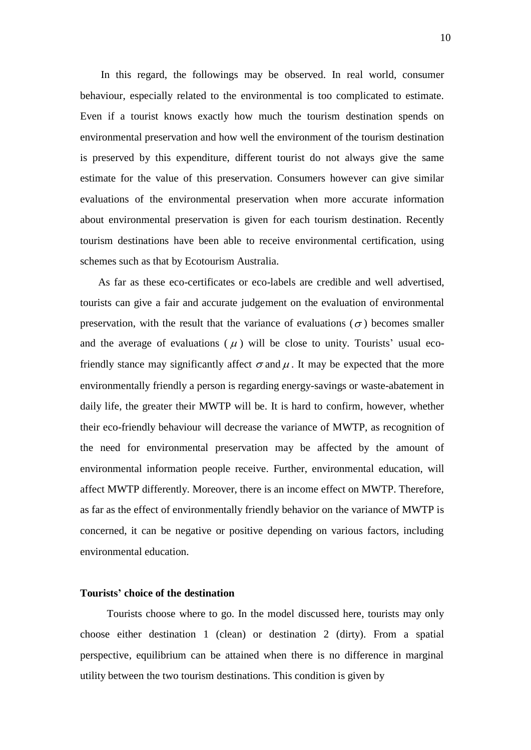In this regard, the followings may be observed. In real world, consumer behaviour, especially related to the environmental is too complicated to estimate. Even if a tourist knows exactly how much the tourism destination spends on environmental preservation and how well the environment of the tourism destination is preserved by this expenditure, different tourist do not always give the same estimate for the value of this preservation. Consumers however can give similar evaluations of the environmental preservation when more accurate information about environmental preservation is given for each tourism destination. Recently tourism destinations have been able to receive environmental certification, using schemes such as that by Ecotourism Australia.

 As far as these eco-certificates or eco-labels are credible and well advertised, tourists can give a fair and accurate judgement on the evaluation of environmental preservation, with the result that the variance of evaluations  $(\sigma)$  becomes smaller and the average of evaluations ( $\mu$ ) will be close to unity. Tourists' usual ecofriendly stance may significantly affect  $\sigma$  and  $\mu$ . It may be expected that the more environmentally friendly a person is regarding energy-savings or waste-abatement in daily life, the greater their MWTP will be. It is hard to confirm, however, whether their eco-friendly behaviour will decrease the variance of MWTP, as recognition of the need for environmental preservation may be affected by the amount of environmental information people receive. Further, environmental education, will affect MWTP differently. Moreover, there is an income effect on MWTP. Therefore, as far as the effect of environmentally friendly behavior on the variance of MWTP is concerned, it can be negative or positive depending on various factors, including environmental education.

#### **Tourists' choice of the destination**

Tourists choose where to go. In the model discussed here, tourists may only choose either destination 1 (clean) or destination 2 (dirty). From a spatial perspective, equilibrium can be attained when there is no difference in marginal utility between the two tourism destinations. This condition is given by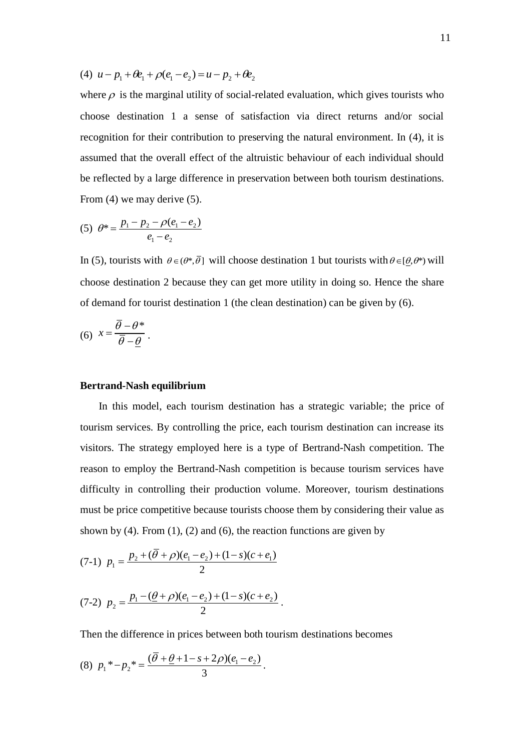(4)  $u - p_1 + \theta e_1 + \rho (e_1 - e_2) = u - p_2 + \theta e_2$ 

where  $\rho$  is the marginal utility of social-related evaluation, which gives tourists who choose destination 1 a sense of satisfaction via direct returns and/or social recognition for their contribution to preserving the natural environment. In (4), it is assumed that the overall effect of the altruistic behaviour of each individual should be reflected by a large difference in preservation between both tourism destinations. From (4) we may derive (5).

$$
(5) \ \theta^* = \frac{p_1 - p_2 - \rho(e_1 - e_2)}{e_1 - e_2}
$$

In (5), tourists with  $\theta \in (\theta^*, \overline{\theta}]$  will choose destination 1 but tourists with  $\theta \in [\theta, \theta^*]$  will choose destination 2 because they can get more utility in doing so. Hence the share of demand for tourist destination 1 (the clean destination) can be given by (6).

$$
(6) \t x = \frac{\overline{\theta} - \theta^*}{\overline{\theta} - \underline{\theta}}.
$$

## **Bertrand-Nash equilibrium**

 In this model, each tourism destination has a strategic variable; the price of tourism services. By controlling the price, each tourism destination can increase its visitors. The strategy employed here is a type of Bertrand-Nash competition. The reason to employ the Bertrand-Nash competition is because tourism services have difficulty in controlling their production volume. Moreover, tourism destinations must be price competitive because tourists choose them by considering their value as shown by (4). From  $(1)$ ,  $(2)$  and  $(6)$ , the reaction functions are given by

(7-1) 
$$
p_1 = \frac{p_2 + (\overline{\theta} + \rho)(e_1 - e_2) + (1 - s)(c + e_1)}{2}
$$

(7-2) 
$$
p_2 = \frac{p_1 - (\underline{\theta} + \rho)(e_1 - e_2) + (1 - s)(c + e_2)}{2}.
$$

Then the difference in prices between both tourism destinations becomes

.

(8) 
$$
p_1^* - p_2^* = \frac{(\overline{\theta} + \underline{\theta} + 1 - s + 2\rho)(e_1 - e_2)}{3}
$$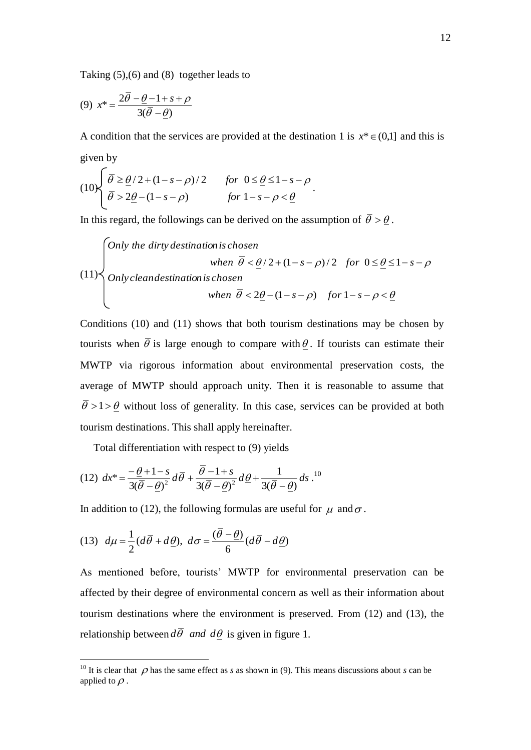Taking (5),(6) and (8) together leads to

$$
(9) \t x^* = \frac{2\overline{\theta} - \underline{\theta} - 1 + s + \rho}{3(\overline{\theta} - \underline{\theta})}
$$

A condition that the services are provided at the destination 1 is  $x^* \in (0,1]$  and this is given by  $\sqrt{ }$ 

$$
(10)\begin{cases} \bar{\theta} \ge \frac{\theta}{2} + (1 - s - \rho)/2 & \text{for } 0 \le \frac{\theta}{2} \le 1 - s - \rho \\ \bar{\theta} > 2\frac{\theta}{2} - (1 - s - \rho) & \text{for } 1 - s - \rho < \frac{\theta}{2} \end{cases}.
$$

In this regard, the followings can be derived on the assumption of  $\theta > \theta$ .

(11)

\nOnly the dirty destination is chosen when 
$$
\bar{\theta} < \theta/2 + (1 - s - \rho)/2
$$
 for  $0 \leq \theta \leq 1 - s - \rho$ 

\nOnly clean destination is chosen when  $\bar{\theta} < 2\underline{\theta} - (1 - s - \rho)$  for  $1 - s - \rho < \underline{\theta}$ 

Conditions (10) and (11) shows that both tourism destinations may be chosen by tourists when  $\theta$  is large enough to compare with  $\theta$ . If tourists can estimate their MWTP via rigorous information about environmental preservation costs, the average of MWTP should approach unity. Then it is reasonable to assume that  $\bar{\theta}$  >1 >  $\theta$  without loss of generality. In this case, services can be provided at both tourism destinations. This shall apply hereinafter.

Total differentiation with respect to (9) yields

(12) 
$$
dx^* = \frac{-\underline{\theta} + 1 - s}{3(\overline{\theta} - \underline{\theta})^2} d\overline{\theta} + \frac{\overline{\theta} - 1 + s}{3(\overline{\theta} - \underline{\theta})^2} d\underline{\theta} + \frac{1}{3(\overline{\theta} - \underline{\theta})} ds
$$
.<sup>10</sup>

In addition to (12), the following formulas are useful for  $\mu$  and  $\sigma$ .

(13) 
$$
d\mu = \frac{1}{2}(d\overline{\theta} + d\underline{\theta}), \ d\sigma = \frac{(\overline{\theta} - \underline{\theta})}{6}(d\overline{\theta} - d\underline{\theta})
$$

 $\overline{a}$ 

As mentioned before, tourists" MWTP for environmental preservation can be affected by their degree of environmental concern as well as their information about tourism destinations where the environment is preserved. From (12) and (13), the relationship between  $d\bar{\theta}$  *and*  $d\theta$  is given in figure 1.

<sup>&</sup>lt;sup>10</sup> It is clear that  $\rho$  has the same effect as *s* as shown in (9). This means discussions about *s* can be applied to  $\rho$ .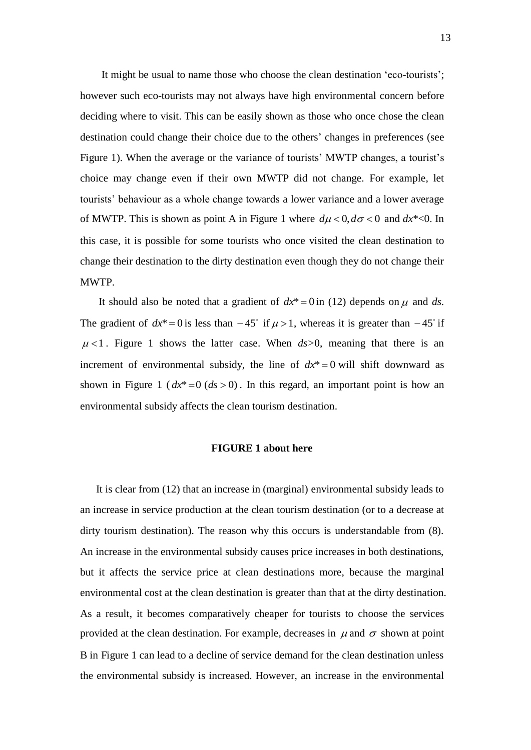It might be usual to name those who choose the clean destination "eco-tourists"; however such eco-tourists may not always have high environmental concern before deciding where to visit. This can be easily shown as those who once chose the clean destination could change their choice due to the others" changes in preferences (see Figure 1). When the average or the variance of tourists' MWTP changes, a tourist's choice may change even if their own MWTP did not change. For example, let tourists" behaviour as a whole change towards a lower variance and a lower average of MWTP. This is shown as point A in Figure 1 where  $d\mu < 0, d\sigma < 0$  and  $dx^* < 0$ . In this case, it is possible for some tourists who once visited the clean destination to change their destination to the dirty destination even though they do not change their MWTP.

It should also be noted that a gradient of  $dx^* = 0$  in (12) depends on  $\mu$  and ds. The gradient of  $dx^* = 0$  is less than  $-45^\circ$  if  $\mu > 1$ , whereas it is greater than  $-45^\circ$  if  $\mu$ <1. Figure 1 shows the latter case. When  $ds > 0$ , meaning that there is an increment of environmental subsidy, the line of  $dx^* = 0$  will shift downward as shown in Figure 1 ( $dx^* = 0$  ( $ds > 0$ ). In this regard, an important point is how an environmental subsidy affects the clean tourism destination.

#### **FIGURE 1 about here**

 It is clear from (12) that an increase in (marginal) environmental subsidy leads to an increase in service production at the clean tourism destination (or to a decrease at dirty tourism destination). The reason why this occurs is understandable from (8). An increase in the environmental subsidy causes price increases in both destinations, but it affects the service price at clean destinations more, because the marginal environmental cost at the clean destination is greater than that at the dirty destination. As a result, it becomes comparatively cheaper for tourists to choose the services provided at the clean destination. For example, decreases in  $\mu$  and  $\sigma$  shown at point B in Figure 1 can lead to a decline of service demand for the clean destination unless the environmental subsidy is increased. However, an increase in the environmental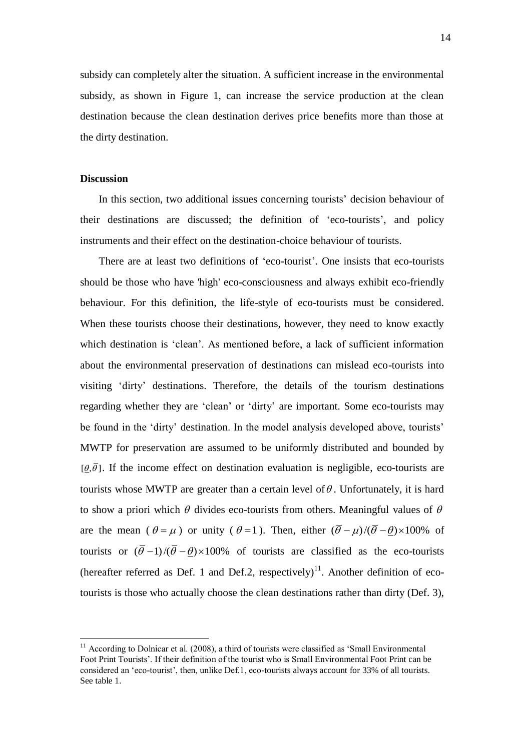subsidy can completely alter the situation. A sufficient increase in the environmental subsidy, as shown in Figure 1, can increase the service production at the clean destination because the clean destination derives price benefits more than those at the dirty destination.

## **Discussion**

 $\overline{a}$ 

In this section, two additional issues concerning tourists' decision behaviour of their destinations are discussed; the definition of "eco-tourists", and policy instruments and their effect on the destination-choice behaviour of tourists.

 There are at least two definitions of "eco-tourist". One insists that eco-tourists should be those who have 'high' eco-consciousness and always exhibit eco-friendly behaviour. For this definition, the life-style of eco-tourists must be considered. When these tourists choose their destinations, however, they need to know exactly which destination is 'clean'. As mentioned before, a lack of sufficient information about the environmental preservation of destinations can mislead eco-tourists into visiting "dirty" destinations. Therefore, the details of the tourism destinations regarding whether they are "clean" or "dirty" are important. Some eco-tourists may be found in the 'dirty' destination. In the model analysis developed above, tourists' MWTP for preservation are assumed to be uniformly distributed and bounded by  $[\theta, \bar{\theta}]$ . If the income effect on destination evaluation is negligible, eco-tourists are tourists whose MWTP are greater than a certain level of  $\theta$ . Unfortunately, it is hard to show a priori which  $\theta$  divides eco-tourists from others. Meaningful values of  $\theta$ are the mean  $(\theta = \mu)$  or unity  $(\theta = 1)$ . Then, either  $(\bar{\theta} - \mu)/(\bar{\theta} - \bar{\theta}) \times 100\%$  of tourists or  $(\bar{\theta}-1)/(\bar{\theta}-\theta) \times 100\%$  of tourists are classified as the eco-tourists (hereafter referred as Def. 1 and Def.2, respectively)<sup>11</sup>. Another definition of ecotourists is those who actually choose the clean destinations rather than dirty (Def. 3),

 $11$  According to Dolnicar et al. (2008), a third of tourists were classified as 'Small Environmental Foot Print Tourists". If their definition of the tourist who is Small Environmental Foot Print can be considered an "eco-tourist", then, unlike Def.1, eco-tourists always account for 33% of all tourists. See table 1.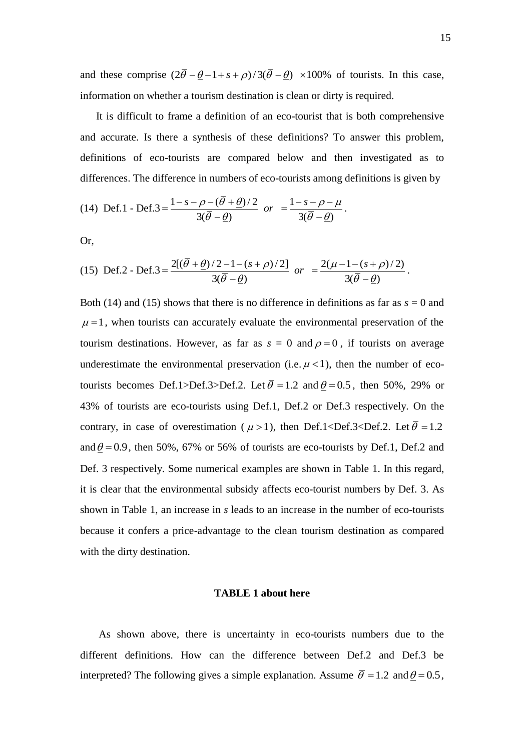and these comprise  $(2\bar{\theta} - \theta - 1 + s + \rho)/3(\bar{\theta} - \theta) \times 100\%$  of tourists. In this case, information on whether a tourism destination is clean or dirty is required.

 It is difficult to frame a definition of an eco-tourist that is both comprehensive and accurate. Is there a synthesis of these definitions? To answer this problem, definitions of eco-tourists are compared below and then investigated as to differences. The difference in numbers of eco-tourists among definitions is given by

(14) Def.1 - Def.3 = 
$$
\frac{1-s-\rho-(\overline{\theta}+\underline{\theta})/2}{3(\overline{\theta}-\underline{\theta})}
$$
 or  $=\frac{1-s-\rho-\mu}{3(\overline{\theta}-\underline{\theta})}$ .

Or,

(15) Def.2 - Def.3 = 
$$
\frac{2[(\bar{\theta} + \underline{\theta})/2 - 1 - (s + \rho)/2]}{3(\bar{\theta} - \underline{\theta})}
$$
 or  $= \frac{2(\mu - 1 - (s + \rho)/2)}{3(\bar{\theta} - \underline{\theta})}$ 

Both (14) and (15) shows that there is no difference in definitions as far as  $s = 0$  and  $\mu$  = 1, when tourists can accurately evaluate the environmental preservation of the tourism destinations. However, as far as  $s = 0$  and  $\rho = 0$ , if tourists on average underestimate the environmental preservation (i.e.  $\mu$  < 1), then the number of ecotourists becomes Def.1>Def.3>Def.2. Let  $\bar{\theta} = 1.2$  and  $\underline{\theta} = 0.5$ , then 50%, 29% or 43% of tourists are eco-tourists using Def.1, Def.2 or Def.3 respectively. On the contrary, in case of overestimation ( $\mu$  > 1), then Def.1<Def.3<Def.2. Let  $\bar{\theta}$  = 1.2 and  $\theta$  = 0.9, then 50%, 67% or 56% of tourists are eco-tourists by Def.1, Def.2 and Def. 3 respectively. Some numerical examples are shown in Table 1. In this regard, it is clear that the environmental subsidy affects eco-tourist numbers by Def. 3. As shown in Table 1, an increase in *s* leads to an increase in the number of eco-tourists because it confers a price-advantage to the clean tourism destination as compared with the dirty destination.

#### **TABLE 1 about here**

 As shown above, there is uncertainty in eco-tourists numbers due to the different definitions. How can the difference between Def.2 and Def.3 be interpreted? The following gives a simple explanation. Assume  $\bar{\theta} = 1.2$  and  $\theta = 0.5$ ,

.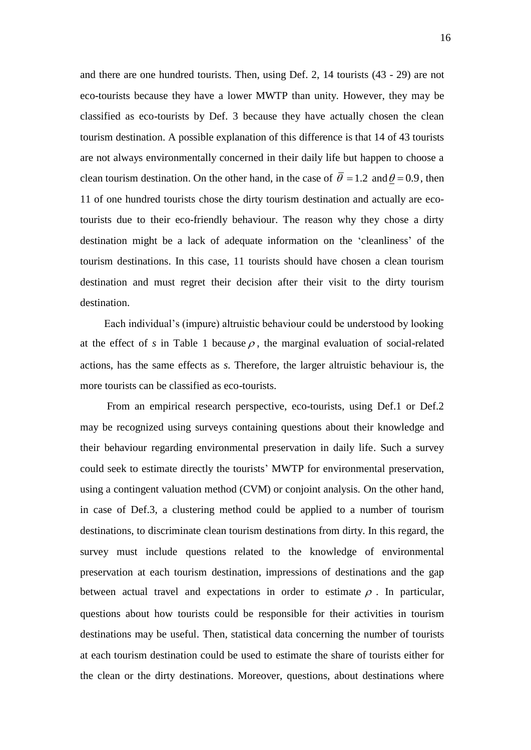and there are one hundred tourists. Then, using Def. 2, 14 tourists (43 - 29) are not eco-tourists because they have a lower MWTP than unity. However, they may be classified as eco-tourists by Def. 3 because they have actually chosen the clean tourism destination. A possible explanation of this difference is that 14 of 43 tourists are not always environmentally concerned in their daily life but happen to choose a clean tourism destination. On the other hand, in the case of  $\bar{\theta} = 1.2$  and  $\theta = 0.9$ , then 11 of one hundred tourists chose the dirty tourism destination and actually are ecotourists due to their eco-friendly behaviour. The reason why they chose a dirty destination might be a lack of adequate information on the "cleanliness" of the tourism destinations. In this case, 11 tourists should have chosen a clean tourism destination and must regret their decision after their visit to the dirty tourism destination.

 Each individual"s (impure) altruistic behaviour could be understood by looking at the effect of  $s$  in Table 1 because  $\rho$ , the marginal evaluation of social-related actions, has the same effects as *s*. Therefore, the larger altruistic behaviour is, the more tourists can be classified as eco-tourists.

From an empirical research perspective, eco-tourists, using Def.1 or Def.2 may be recognized using surveys containing questions about their knowledge and their behaviour regarding environmental preservation in daily life. Such a survey could seek to estimate directly the tourists" MWTP for environmental preservation, using a contingent valuation method (CVM) or conjoint analysis. On the other hand, in case of Def.3, a clustering method could be applied to a number of tourism destinations, to discriminate clean tourism destinations from dirty. In this regard, the survey must include questions related to the knowledge of environmental preservation at each tourism destination, impressions of destinations and the gap between actual travel and expectations in order to estimate  $\rho$ . In particular, questions about how tourists could be responsible for their activities in tourism destinations may be useful. Then, statistical data concerning the number of tourists at each tourism destination could be used to estimate the share of tourists either for the clean or the dirty destinations. Moreover, questions, about destinations where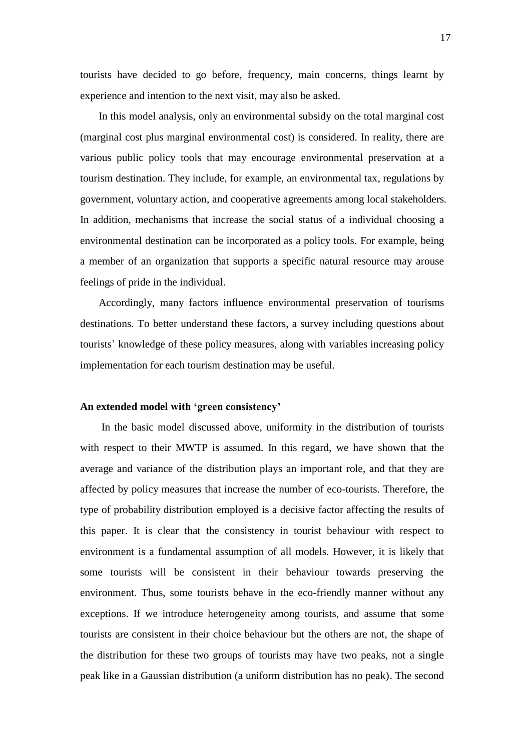tourists have decided to go before, frequency, main concerns, things learnt by experience and intention to the next visit, may also be asked.

 In this model analysis, only an environmental subsidy on the total marginal cost (marginal cost plus marginal environmental cost) is considered. In reality, there are various public policy tools that may encourage environmental preservation at a tourism destination. They include, for example, an environmental tax, regulations by government, voluntary action, and cooperative agreements among local stakeholders. In addition, mechanisms that increase the social status of a individual choosing a environmental destination can be incorporated as a policy tools. For example, being a member of an organization that supports a specific natural resource may arouse feelings of pride in the individual.

 Accordingly, many factors influence environmental preservation of tourisms destinations. To better understand these factors, a survey including questions about tourists" knowledge of these policy measures, along with variables increasing policy implementation for each tourism destination may be useful.

# **An extended model with 'green consistency'**

 In the basic model discussed above, uniformity in the distribution of tourists with respect to their MWTP is assumed. In this regard, we have shown that the average and variance of the distribution plays an important role, and that they are affected by policy measures that increase the number of eco-tourists. Therefore, the type of probability distribution employed is a decisive factor affecting the results of this paper. It is clear that the consistency in tourist behaviour with respect to environment is a fundamental assumption of all models. However, it is likely that some tourists will be consistent in their behaviour towards preserving the environment. Thus, some tourists behave in the eco-friendly manner without any exceptions. If we introduce heterogeneity among tourists, and assume that some tourists are consistent in their choice behaviour but the others are not, the shape of the distribution for these two groups of tourists may have two peaks, not a single peak like in a Gaussian distribution (a uniform distribution has no peak). The second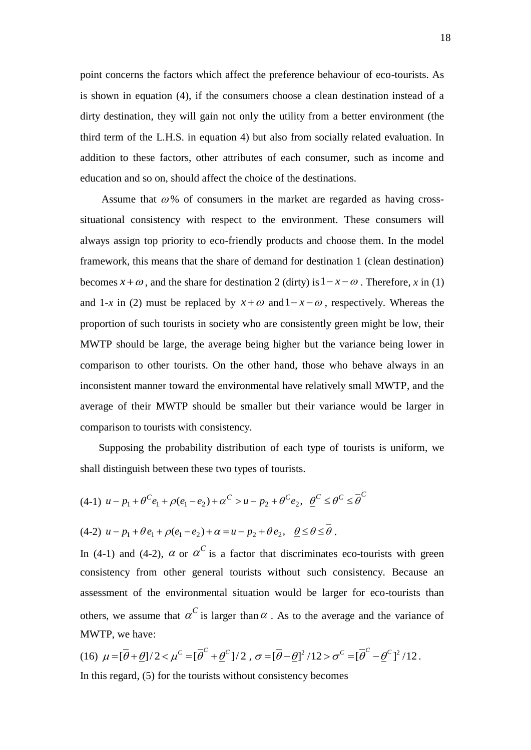point concerns the factors which affect the preference behaviour of eco-tourists. As is shown in equation (4), if the consumers choose a clean destination instead of a dirty destination, they will gain not only the utility from a better environment (the third term of the L.H.S. in equation 4) but also from socially related evaluation. In addition to these factors, other attributes of each consumer, such as income and education and so on, should affect the choice of the destinations.

Assume that  $\omega$ % of consumers in the market are regarded as having crosssituational consistency with respect to the environment. These consumers will always assign top priority to eco-friendly products and choose them. In the model framework, this means that the share of demand for destination 1 (clean destination) becomes  $x + \omega$ , and the share for destination 2 (dirty) is  $1 - x - \omega$ . Therefore, *x* in (1) and 1-x in (2) must be replaced by  $x + \omega$  and  $1 - x - \omega$ , respectively. Whereas the proportion of such tourists in society who are consistently green might be low, their MWTP should be large, the average being higher but the variance being lower in comparison to other tourists. On the other hand, those who behave always in an inconsistent manner toward the environmental have relatively small MWTP, and the average of their MWTP should be smaller but their variance would be larger in comparison to tourists with consistency.

 Supposing the probability distribution of each type of tourists is uniform, we shall distinguish between these two types of tourists.

$$
(4-1) \ u - p_1 + \theta^C e_1 + \rho(e_1 - e_2) + \alpha^C > u - p_2 + \theta^C e_2, \ \ \underline{\theta}^C \le \theta^C \le \overline{\theta}^C
$$

$$
(4-2) \ u - p_1 + \theta e_1 + \rho(e_1 - e_2) + \alpha = u - p_2 + \theta e_2, \quad \underline{\theta} \le \theta \le \overline{\theta}.
$$

In (4-1) and (4-2),  $\alpha$  or  $\alpha^C$  is a factor that discriminates eco-tourists with green consistency from other general tourists without such consistency. Because an assessment of the environmental situation would be larger for eco-tourists than others, we assume that  $\alpha^C$  is larger than  $\alpha$ . As to the average and the variance of MWTP, we have:

(16)  $\mu = [\bar{\theta} + \underline{\theta}]/2 < \mu^C = [\bar{\theta}^C + \underline{\theta}^C]/2$ ,  $\sigma = [\bar{\theta} - \underline{\theta}]^2/12 > \sigma^C = [\bar{\theta}^C - \underline{\theta}^C]^2/12$ . In this regard, (5) for the tourists without consistency becomes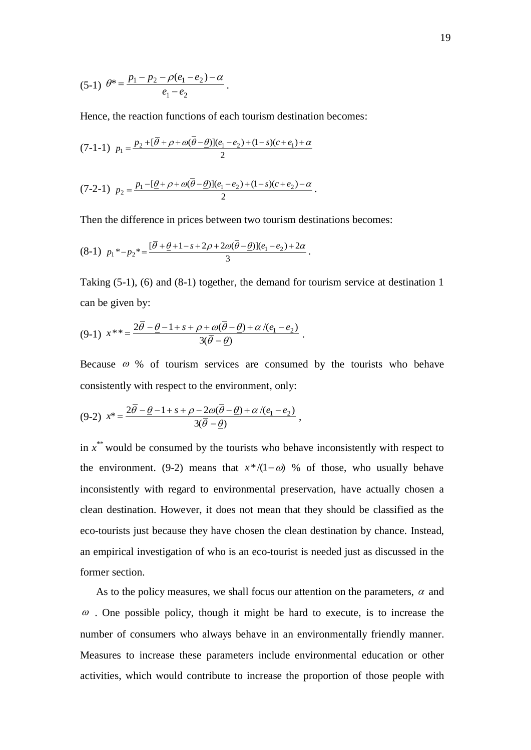$$
(5-1) \theta^* = \frac{p_1 - p_2 - \rho(e_1 - e_2) - \alpha}{e_1 - e_2}.
$$

Hence, the reaction functions of each tourism destination becomes:

$$
(7-1-1) \ \ p_1 = \frac{p_2 + [\overline{\theta} + \rho + \omega(\overline{\theta} - \underline{\theta})](e_1 - e_2) + (1-s)(c + e_1) + \alpha}{2}
$$

$$
(7-2-1) \ \ p_2 = \frac{p_1 - [\underline{\theta} + \rho + \omega(\overline{\theta} - \underline{\theta})](e_1 - e_2) + (1-s)(c + e_2) - \alpha}{2} \, .
$$

Then the difference in prices between two tourism destinations becomes:

$$
(8-1) \ \ p_1^* - p_2^* = \frac{[\bar{\theta} + \underline{\theta} + 1 - s + 2\rho + 2\omega(\bar{\theta} - \underline{\theta})](e_1 - e_2) + 2\alpha}{3} \, .
$$

Taking (5-1), (6) and (8-1) together, the demand for tourism service at destination 1 can be given by:

$$
(9-1) \t x^{**} = \frac{2\overline{\theta} - \underline{\theta} - 1 + s + \rho + \omega(\theta - \underline{\theta}) + \alpha/(e_1 - e_2)}{3(\overline{\theta} - \underline{\theta})}.
$$

Because  $\omega$  % of tourism services are consumed by the tourists who behave consistently with respect to the environment, only:

$$
(9-2) \t x^* = \frac{2\overline{\theta} - \underline{\theta} - 1 + s + \rho - 2\omega(\overline{\theta} - \underline{\theta}) + \alpha/(e_1 - e_2)}{3(\overline{\theta} - \underline{\theta})},
$$

in  $x^*$  would be consumed by the tourists who behave inconsistently with respect to the environment. (9-2) means that  $x^*/(1-\omega)$  % of those, who usually behave inconsistently with regard to environmental preservation, have actually chosen a clean destination. However, it does not mean that they should be classified as the eco-tourists just because they have chosen the clean destination by chance. Instead, an empirical investigation of who is an eco-tourist is needed just as discussed in the former section.

As to the policy measures, we shall focus our attention on the parameters,  $\alpha$  and  $\omega$ . One possible policy, though it might be hard to execute, is to increase the number of consumers who always behave in an environmentally friendly manner. Measures to increase these parameters include environmental education or other activities, which would contribute to increase the proportion of those people with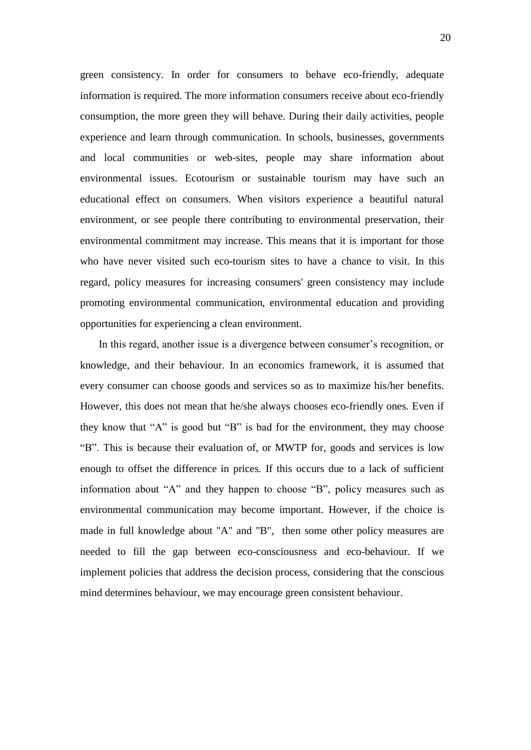green consistency. In order for consumers to behave eco-friendly, adequate information is required. The more information consumers receive about eco-friendly consumption, the more green they will behave. During their daily activities, people experience and learn through communication. In schools, businesses, governments and local communities or web-sites, people may share information about environmental issues. Ecotourism or sustainable tourism may have such an educational effect on consumers. When visitors experience a beautiful natural environment, or see people there contributing to environmental preservation, their environmental commitment may increase. This means that it is important for those who have never visited such eco-tourism sites to have a chance to visit. In this regard, policy measures for increasing consumers' green consistency may include promoting environmental communication, environmental education and providing opportunities for experiencing a clean environment.

 In this regard, another issue is a divergence between consumer"s recognition, or knowledge, and their behaviour. In an economics framework, it is assumed that every consumer can choose goods and services so as to maximize his/her benefits. However, this does not mean that he/she always chooses eco-friendly ones. Even if they know that "A" is good but "B" is bad for the environment, they may choose "B". This is because their evaluation of, or MWTP for, goods and services is low enough to offset the difference in prices. If this occurs due to a lack of sufficient information about "A" and they happen to choose "B", policy measures such as environmental communication may become important. However, if the choice is made in full knowledge about "A" and "B", then some other policy measures are needed to fill the gap between eco-consciousness and eco-behaviour. If we implement policies that address the decision process, considering that the conscious mind determines behaviour, we may encourage green consistent behaviour.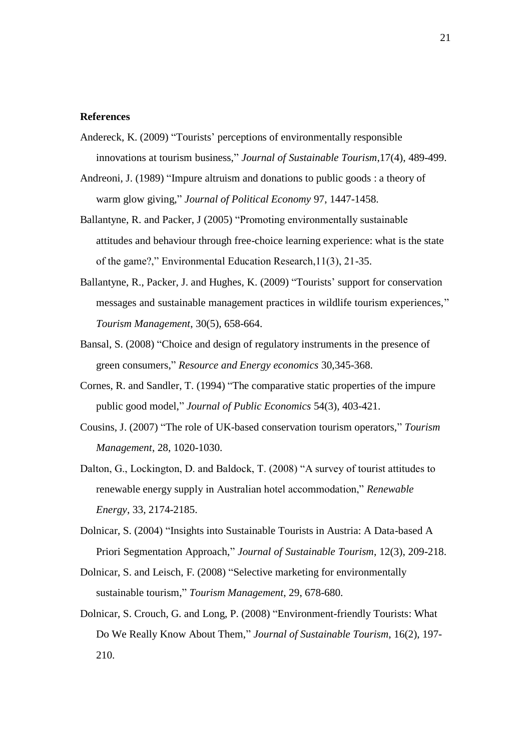#### **References**

- Andereck, K. (2009) "Tourists" perceptions of environmentally responsible innovations at tourism business," *Journal of Sustainable Tourism*,17(4), 489-499.
- Andreoni, J. (1989) "Impure altruism and donations to public goods : a theory of warm glow giving," *Journal of Political Economy* 97, 1447-1458.
- Ballantyne, R. and Packer, J (2005) "Promoting environmentally sustainable attitudes and behaviour through free-choice learning experience: what is the state of the game?," Environmental Education Research,11(3), 21-35.
- Ballantyne, R., Packer, J. and Hughes, K. (2009) "Tourists" support for conservation messages and sustainable management practices in wildlife tourism experiences," *Tourism Management*, 30(5), 658-664.
- Bansal, S. (2008) "Choice and design of regulatory instruments in the presence of green consumers," *Resource and Energy economics* 30,345-368.
- Cornes, R. and Sandler, T. (1994) "The comparative static properties of the impure public good model," *Journal of Public Economics* 54(3), 403-421.
- Cousins, J. (2007) "The role of UK-based conservation tourism operators," *Tourism Management*, 28, 1020-1030.
- Dalton, G., Lockington, D. and Baldock, T. (2008) "A survey of tourist attitudes to renewable energy supply in Australian hotel accommodation," *Renewable Energy*, 33, 2174-2185.
- Dolnicar, S. (2004) "Insights into Sustainable Tourists in Austria: A Data-based A Priori Segmentation Approach," *Journal of Sustainable Tourism*, 12(3), 209-218.
- Dolnicar, S. and Leisch, F. (2008) "Selective marketing for environmentally sustainable tourism," *Tourism Management*, 29, 678-680.
- Dolnicar, S. Crouch, G. and Long, P. (2008) "Environment-friendly Tourists: What Do We Really Know About Them," *Journal of Sustainable Tourism*, 16(2), 197- 210.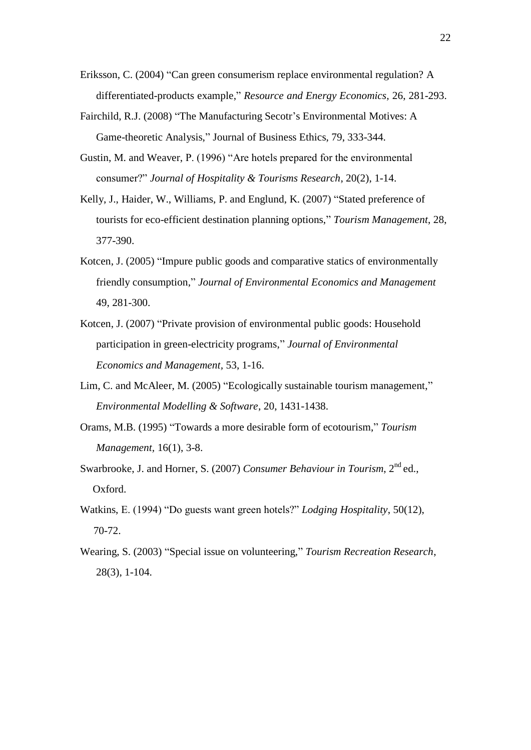- Eriksson, C. (2004) "Can green consumerism replace environmental regulation? A differentiated-products example," *Resource and Energy Economics,* 26, 281-293.
- Fairchild, R.J. (2008) "The Manufacturing Secotr's Environmental Motives: A Game-theoretic Analysis," Journal of Business Ethics, 79, 333-344.
- Gustin, M. and Weaver, P. (1996) "Are hotels prepared for the environmental consumer?" *Journal of Hospitality & Tourisms Research*, 20(2), 1-14.
- Kelly, J., Haider, W., Williams, P. and Englund, K. (2007) "Stated preference of tourists for eco-efficient destination planning options," *Tourism Management*, 28, 377-390.
- Kotcen, J. (2005) "Impure public goods and comparative statics of environmentally friendly consumption," *Journal of Environmental Economics and Management*  49, 281-300.
- Kotcen, J. (2007) "Private provision of environmental public goods: Household participation in green-electricity programs," *Journal of Environmental Economics and Management,* 53, 1-16.
- Lim, C. and McAleer, M. (2005) "Ecologically sustainable tourism management," *Environmental Modelling & Software*, 20, 1431-1438.
- Orams, M.B. (1995) "Towards a more desirable form of ecotourism," *Tourism Management,* 16(1), 3-8.
- Swarbrooke, J. and Horner, S. (2007) *Consumer Behaviour in Tourism*, 2<sup>nd</sup> ed., Oxford.
- Watkins, E. (1994) "Do guests want green hotels?" *Lodging Hospitality*, 50(12), 70-72.
- Wearing, S. (2003) "Special issue on volunteering," *Tourism Recreation Research*, 28(3), 1-104.